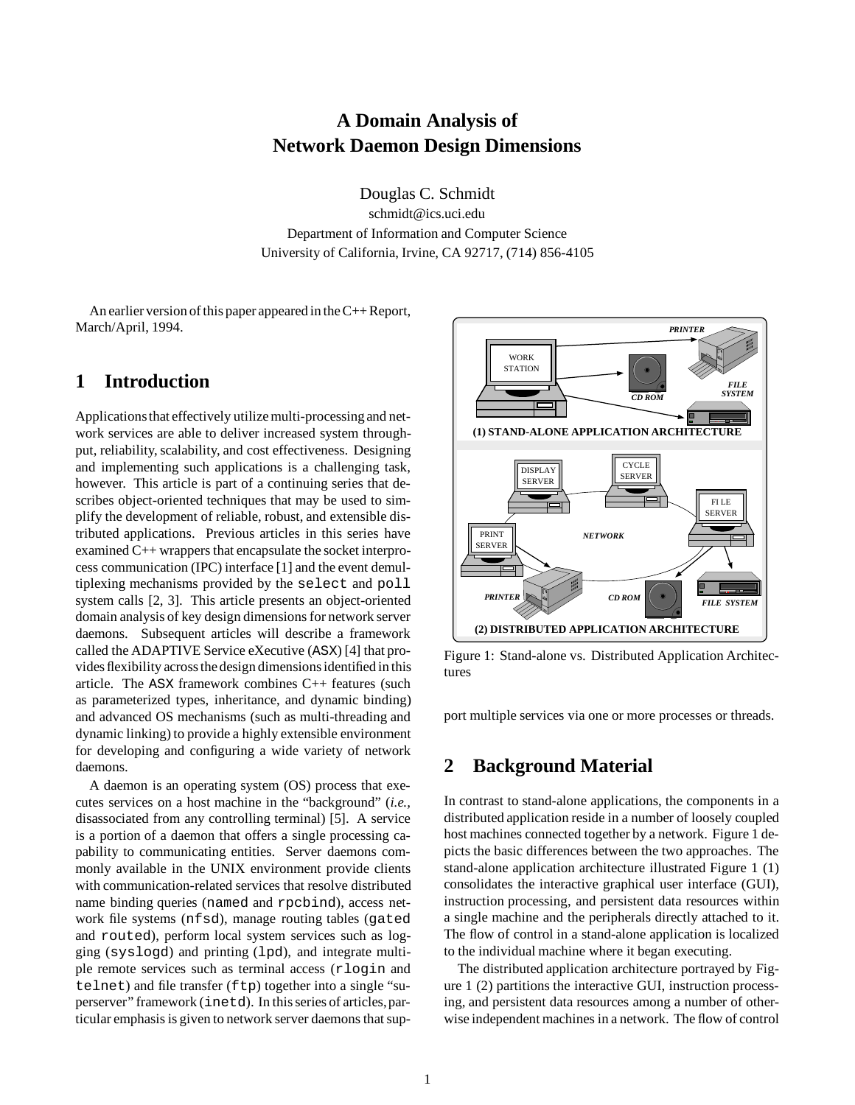# **A Domain Analysis of Network Daemon Design Dimensions**

Douglas C. Schmidt schmidt@ics.uci.edu

Department of Information and Computer Science University of California, Irvine, CA 92717, (714) 856-4105

An earlier version of this paper appeared in the C++ Report, March/April, 1994.

## **1 Introduction**

Applicationsthat effectively utilize multi-processingand network services are able to deliver increased system throughput, reliability, scalability, and cost effectiveness. Designing and implementing such applications is a challenging task, however. This article is part of a continuing series that describes object-oriented techniques that may be used to simplify the development of reliable, robust, and extensible distributed applications. Previous articles in this series have examined C++ wrappers that encapsulate the socket interprocess communication (IPC) interface [1] and the event demultiplexing mechanisms provided by the select and poll system calls [2, 3]. This article presents an object-oriented domain analysis of key design dimensions for network server daemons. Subsequent articles will describe a framework called the ADAPTIVE Service eXecutive (ASX) [4] that provides flexibility across the design dimensions identified in this article. The ASX framework combines C++ features (such as parameterized types, inheritance, and dynamic binding) and advanced OS mechanisms (such as multi-threading and dynamic linking) to provide a highly extensible environment for developing and configuring a wide variety of network daemons.

A daemon is an operating system (OS) process that executes services on a host machine in the "background" (*i.e.,* disassociated from any controlling terminal) [5]. A service is a portion of a daemon that offers a single processing capability to communicating entities. Server daemons commonly available in the UNIX environment provide clients with communication-related services that resolve distributed name binding queries (named and rpcbind), access network file systems (nfsd), manage routing tables (gated and routed), perform local system services such as logging (syslogd) and printing (lpd), and integrate multiple remote services such as terminal access (rlogin and telnet) and file transfer (ftp) together into a single "superserver" framework (inetd). In this series of articles,particular emphasis is given to network server daemons that sup-



Figure 1: Stand-alone vs. Distributed Application Architectures

port multiple services via one or more processes or threads.

## **2 Background Material**

In contrast to stand-alone applications, the components in a distributed application reside in a number of loosely coupled host machines connected together by a network. Figure 1 depicts the basic differences between the two approaches. The stand-alone application architecture illustrated Figure 1 (1) consolidates the interactive graphical user interface (GUI), instruction processing, and persistent data resources within a single machine and the peripherals directly attached to it. The flow of control in a stand-alone application is localized to the individual machine where it began executing.

The distributed application architecture portrayed by Figure 1 (2) partitions the interactive GUI, instruction processing, and persistent data resources among a number of otherwise independent machines in a network. The flow of control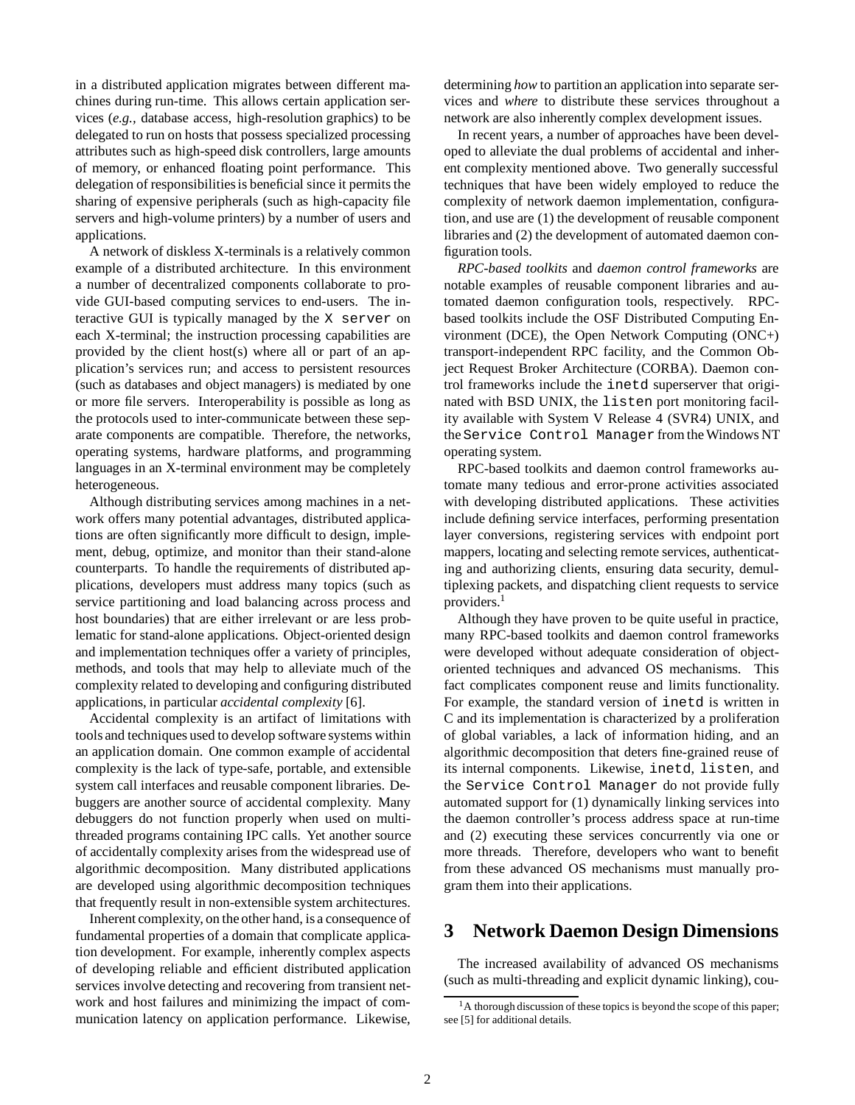in a distributed application migrates between different machines during run-time. This allows certain application services (*e.g.,* database access, high-resolution graphics) to be delegated to run on hosts that possess specialized processing attributes such as high-speed disk controllers, large amounts of memory, or enhanced floating point performance. This delegation of responsibilities is beneficial since it permits the sharing of expensive peripherals (such as high-capacity file servers and high-volume printers) by a number of users and applications.

A network of diskless X-terminals is a relatively common example of a distributed architecture. In this environment a number of decentralized components collaborate to provide GUI-based computing services to end-users. The interactive GUI is typically managed by the X server on each X-terminal; the instruction processing capabilities are provided by the client host(s) where all or part of an application's services run; and access to persistent resources (such as databases and object managers) is mediated by one or more file servers. Interoperability is possible as long as the protocols used to inter-communicate between these separate components are compatible. Therefore, the networks, operating systems, hardware platforms, and programming languages in an X-terminal environment may be completely heterogeneous.

Although distributing services among machines in a network offers many potential advantages, distributed applications are often significantly more difficult to design, implement, debug, optimize, and monitor than their stand-alone counterparts. To handle the requirements of distributed applications, developers must address many topics (such as service partitioning and load balancing across process and host boundaries) that are either irrelevant or are less problematic for stand-alone applications. Object-oriented design and implementation techniques offer a variety of principles, methods, and tools that may help to alleviate much of the complexity related to developing and configuring distributed applications, in particular *accidental complexity* [6].

Accidental complexity is an artifact of limitations with tools and techniques used to develop software systems within an application domain. One common example of accidental complexity is the lack of type-safe, portable, and extensible system call interfaces and reusable component libraries. Debuggers are another source of accidental complexity. Many debuggers do not function properly when used on multithreaded programs containing IPC calls. Yet another source of accidentally complexity arises from the widespread use of algorithmic decomposition. Many distributed applications are developed using algorithmic decomposition techniques that frequently result in non-extensible system architectures.

Inherent complexity, on the other hand, is a consequence of fundamental properties of a domain that complicate application development. For example, inherently complex aspects of developing reliable and efficient distributed application services involve detecting and recovering from transient network and host failures and minimizing the impact of communication latency on application performance. Likewise,

determining *how* to partition an application into separate services and *where* to distribute these services throughout a network are also inherently complex development issues.

In recent years, a number of approaches have been developed to alleviate the dual problems of accidental and inherent complexity mentioned above. Two generally successful techniques that have been widely employed to reduce the complexity of network daemon implementation, configuration, and use are (1) the development of reusable component libraries and (2) the development of automated daemon configuration tools.

*RPC-based toolkits* and *daemon control frameworks* are notable examples of reusable component libraries and automated daemon configuration tools, respectively. RPCbased toolkits include the OSF Distributed Computing Environment (DCE), the Open Network Computing (ONC+) transport-independent RPC facility, and the Common Object Request Broker Architecture (CORBA). Daemon control frameworks include the inetd superserver that originated with BSD UNIX, the listen port monitoring facility available with System V Release 4 (SVR4) UNIX, and the Service Control Manager from the Windows NT operating system.

RPC-based toolkits and daemon control frameworks automate many tedious and error-prone activities associated with developing distributed applications. These activities include defining service interfaces, performing presentation layer conversions, registering services with endpoint port mappers, locating and selecting remote services, authenticating and authorizing clients, ensuring data security, demultiplexing packets, and dispatching client requests to service providers.<sup>1</sup>

Although they have proven to be quite useful in practice, many RPC-based toolkits and daemon control frameworks were developed without adequate consideration of objectoriented techniques and advanced OS mechanisms. This fact complicates component reuse and limits functionality. For example, the standard version of inetd is written in C and its implementation is characterized by a proliferation of global variables, a lack of information hiding, and an algorithmic decomposition that deters fine-grained reuse of its internal components. Likewise, inetd, listen, and the Service Control Manager do not provide fully automated support for (1) dynamically linking services into the daemon controller's process address space at run-time and (2) executing these services concurrently via one or more threads. Therefore, developers who want to benefit from these advanced OS mechanisms must manually program them into their applications.

### **3 Network Daemon Design Dimensions**

The increased availability of advanced OS mechanisms (such as multi-threading and explicit dynamic linking), cou-

<sup>&</sup>lt;sup>1</sup>A thorough discussion of these topics is beyond the scope of this paper; see [5] for additional details.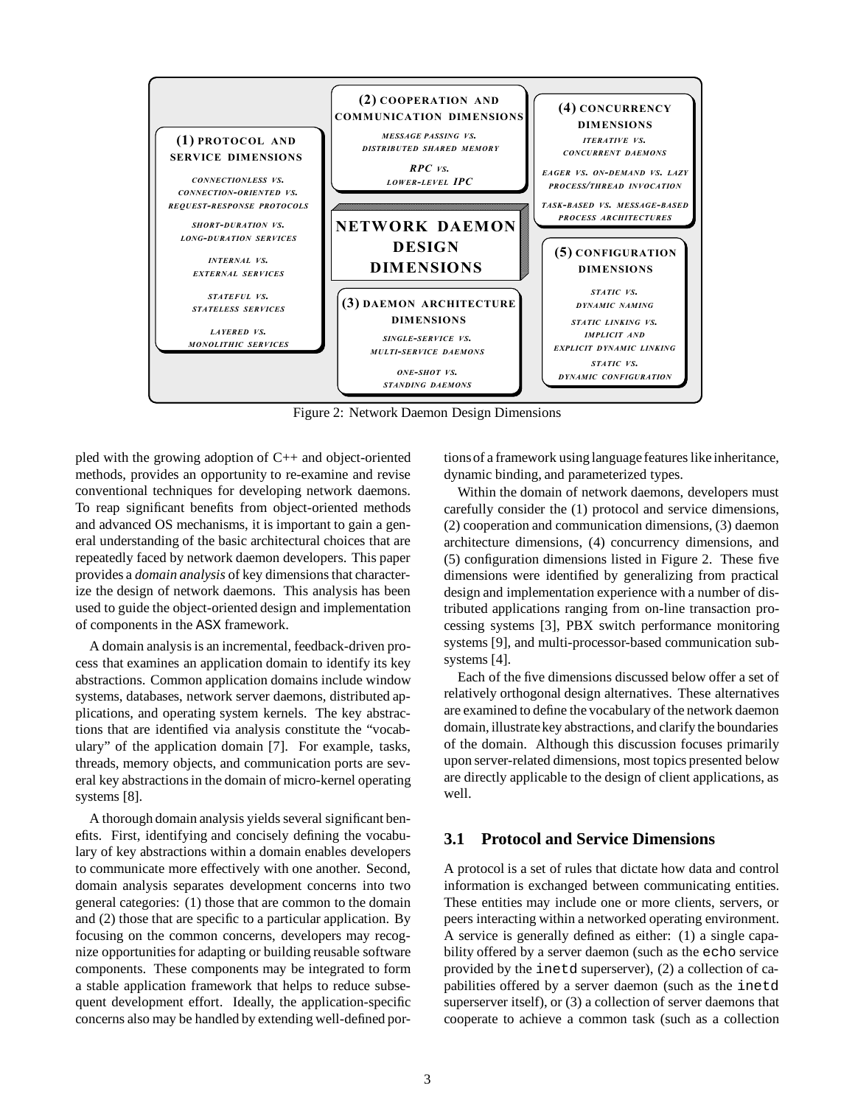

Figure 2: Network Daemon Design Dimensions

pled with the growing adoption of C++ and object-oriented methods, provides an opportunity to re-examine and revise conventional techniques for developing network daemons. To reap significant benefits from object-oriented methods and advanced OS mechanisms, it is important to gain a general understanding of the basic architectural choices that are repeatedly faced by network daemon developers. This paper provides a *domain analysis* of key dimensions that characterize the design of network daemons. This analysis has been used to guide the object-oriented design and implementation of components in the ASX framework.

A domain analysis is an incremental, feedback-driven process that examines an application domain to identify its key abstractions. Common application domains include window systems, databases, network server daemons, distributed applications, and operating system kernels. The key abstractions that are identified via analysis constitute the "vocabulary" of the application domain [7]. For example, tasks, threads, memory objects, and communication ports are several key abstractions in the domain of micro-kernel operating systems [8].

A thorough domain analysis yields several significant benefits. First, identifying and concisely defining the vocabulary of key abstractions within a domain enables developers to communicate more effectively with one another. Second, domain analysis separates development concerns into two general categories: (1) those that are common to the domain and (2) those that are specific to a particular application. By focusing on the common concerns, developers may recognize opportunities for adapting or building reusable software components. These components may be integrated to form a stable application framework that helps to reduce subsequent development effort. Ideally, the application-specific concerns also may be handled by extending well-defined portionsof a framework using language features like inheritance, dynamic binding, and parameterized types.

Within the domain of network daemons, developers must carefully consider the (1) protocol and service dimensions, (2) cooperation and communication dimensions, (3) daemon architecture dimensions, (4) concurrency dimensions, and (5) configuration dimensions listed in Figure 2. These five dimensions were identified by generalizing from practical design and implementation experience with a number of distributed applications ranging from on-line transaction processing systems [3], PBX switch performance monitoring systems [9], and multi-processor-based communication subsystems [4].

Each of the five dimensions discussed below offer a set of relatively orthogonal design alternatives. These alternatives are examined to define the vocabulary of the network daemon domain, illustratekey abstractions, and clarify the boundaries of the domain. Although this discussion focuses primarily upon server-related dimensions, most topics presented below are directly applicable to the design of client applications, as well.

#### **3.1 Protocol and Service Dimensions**

A protocol is a set of rules that dictate how data and control information is exchanged between communicating entities. These entities may include one or more clients, servers, or peers interacting within a networked operating environment. A service is generally defined as either: (1) a single capability offered by a server daemon (such as the echo service provided by the inetd superserver), (2) a collection of capabilities offered by a server daemon (such as the inetd superserver itself), or (3) a collection of server daemons that cooperate to achieve a common task (such as a collection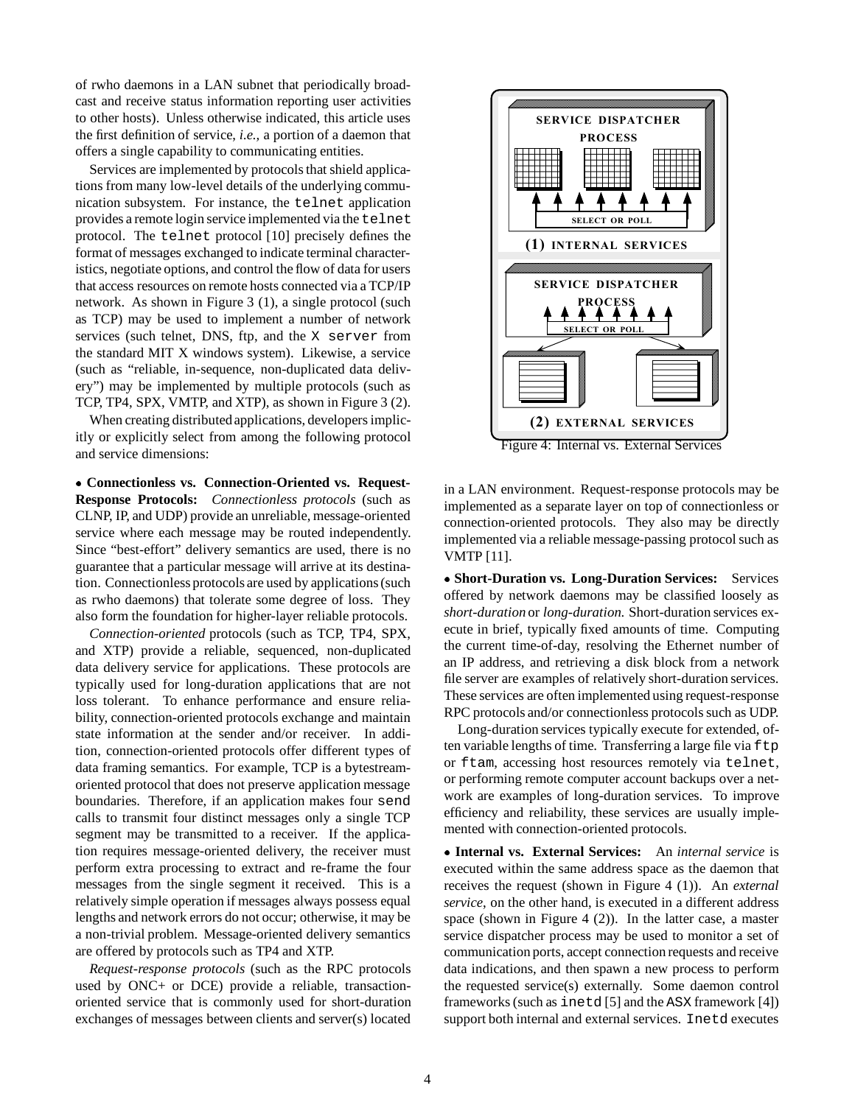of rwho daemons in a LAN subnet that periodically broadcast and receive status information reporting user activities to other hosts). Unless otherwise indicated, this article uses the first definition of service, *i.e.,* a portion of a daemon that offers a single capability to communicating entities.

Services are implemented by protocols that shield applications from many low-level details of the underlying communication subsystem. For instance, the telnet application provides a remote login service implemented via the telnet protocol. The telnet protocol [10] precisely defines the format of messages exchanged to indicate terminal characteristics, negotiate options, and control the flow of data for users that access resources on remote hosts connected via a TCP/IP network. As shown in Figure 3 (1), a single protocol (such as TCP) may be used to implement a number of network services (such telnet, DNS, ftp, and the X server from the standard MIT X windows system). Likewise, a service (such as "reliable, in-sequence, non-duplicated data delivery") may be implemented by multiple protocols (such as TCP, TP4, SPX, VMTP, and XTP), as shown in Figure 3 (2).

When creating distributed applications, developers implicitly or explicitly select from among the following protocol and service dimensions:

 **Connectionless vs. Connection-Oriented vs. Request-Response Protocols:** *Connectionless protocols* (such as CLNP, IP, and UDP) provide an unreliable, message-oriented service where each message may be routed independently. Since "best-effort" delivery semantics are used, there is no guarantee that a particular message will arrive at its destination. Connectionless protocols are used by applications (such as rwho daemons) that tolerate some degree of loss. They also form the foundation for higher-layer reliable protocols.

*Connection-oriented* protocols (such as TCP, TP4, SPX, and XTP) provide a reliable, sequenced, non-duplicated data delivery service for applications. These protocols are typically used for long-duration applications that are not loss tolerant. To enhance performance and ensure reliability, connection-oriented protocols exchange and maintain state information at the sender and/or receiver. In addition, connection-oriented protocols offer different types of data framing semantics. For example, TCP is a bytestreamoriented protocol that does not preserve application message boundaries. Therefore, if an application makes four send calls to transmit four distinct messages only a single TCP segment may be transmitted to a receiver. If the application requires message-oriented delivery, the receiver must perform extra processing to extract and re-frame the four messages from the single segment it received. This is a relatively simple operation if messages always possess equal lengths and network errors do not occur; otherwise, it may be a non-trivial problem. Message-oriented delivery semantics are offered by protocols such as TP4 and XTP.

*Request-response protocols* (such as the RPC protocols used by ONC+ or DCE) provide a reliable, transactionoriented service that is commonly used for short-duration exchanges of messages between clients and server(s) located



in a LAN environment. Request-response protocols may be implemented as a separate layer on top of connectionless or connection-oriented protocols. They also may be directly implemented via a reliable message-passing protocol such as VMTP [11].

 **Short-Duration vs. Long-Duration Services:** Services offered by network daemons may be classified loosely as *short-duration* or *long-duration*. Short-duration services execute in brief, typically fixed amounts of time. Computing the current time-of-day, resolving the Ethernet number of an IP address, and retrieving a disk block from a network file server are examples of relatively short-duration services. These services are often implemented using request-response RPC protocols and/or connectionless protocols such as UDP.

Long-duration services typically execute for extended, often variable lengths of time. Transferring a large file via  $ftp$ or ftam, accessing host resources remotely via telnet, or performing remote computer account backups over a network are examples of long-duration services. To improve efficiency and reliability, these services are usually implemented with connection-oriented protocols.

 **Internal vs. External Services:** An *internal service* is executed within the same address space as the daemon that receives the request (shown in Figure 4 (1)). An *external service*, on the other hand, is executed in a different address space (shown in Figure 4 (2)). In the latter case, a master service dispatcher process may be used to monitor a set of communication ports, accept connection requests and receive data indications, and then spawn a new process to perform the requested service(s) externally. Some daemon control frameworks (such as inetd [5] and the ASX framework [4]) support both internal and external services. Inetd executes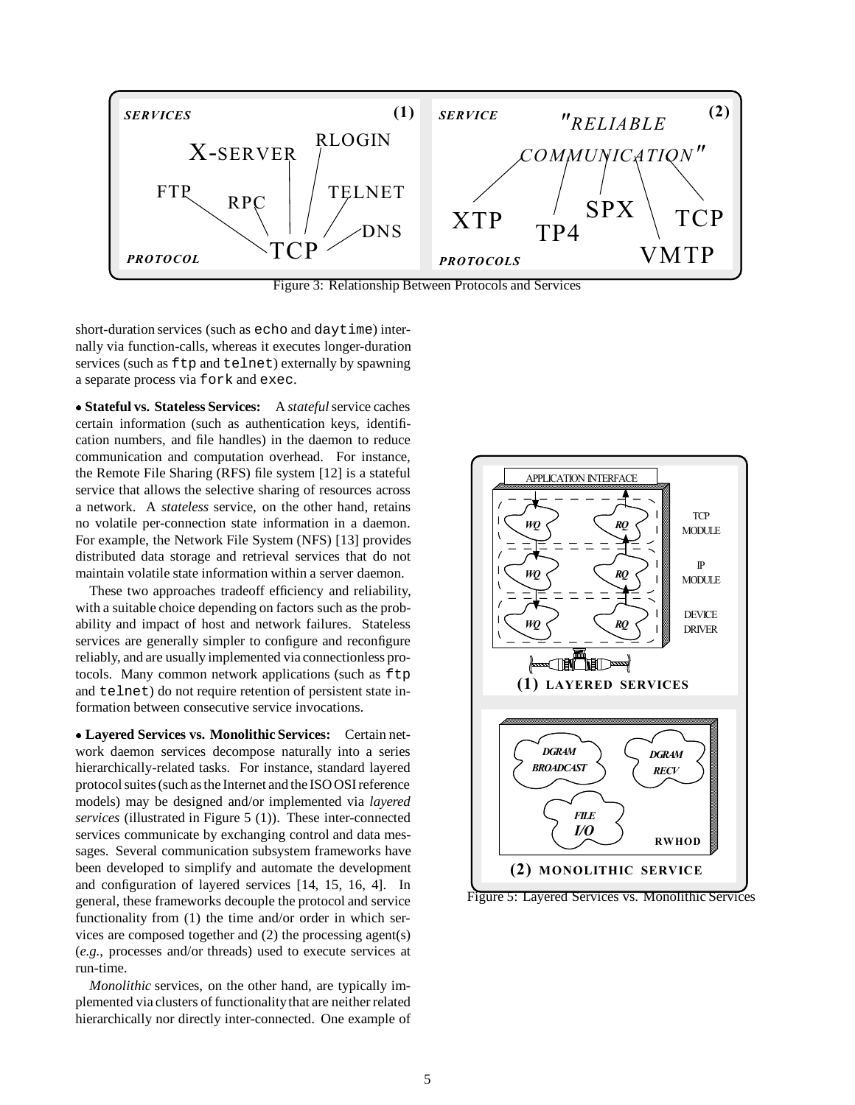

Figure 3: Relationship Between Protocols and Services

short-duration services (such as echo and daytime) internally via function-calls, whereas it executes longer-duration services (such as  $ftp$  and  $telenet$ ) externally by spawning a separate process via fork and exec.

 **Stateful vs. Stateless Services:** A *stateful*service caches certain information (such as authentication keys, identification numbers, and file handles) in the daemon to reduce communication and computation overhead. For instance, the Remote File Sharing (RFS) file system [12] is a stateful service that allows the selective sharing of resources across a network. A *stateless* service, on the other hand, retains no volatile per-connection state information in a daemon. For example, the Network File System (NFS) [13] provides distributed data storage and retrieval services that do not maintain volatile state information within a server daemon.

These two approaches tradeoff efficiency and reliability, with a suitable choice depending on factors such as the probability and impact of host and network failures. Stateless services are generally simpler to configure and reconfigure reliably, and are usually implemented via connectionless protocols. Many common network applications (such as ftp and telnet) do not require retention of persistent state information between consecutive service invocations.

 **Layered Services vs. Monolithic Services:** Certain network daemon services decompose naturally into a series hierarchically-related tasks. For instance, standard layered protocol suites (such as the Internet and the ISO OSI reference models) may be designed and/or implemented via *layered services* (illustrated in Figure 5 (1)). These inter-connected services communicate by exchanging control and data messages. Several communication subsystem frameworks have been developed to simplify and automate the development and configuration of layered services [14, 15, 16, 4]. In general, these frameworks decouple the protocol and service functionality from (1) the time and/or order in which services are composed together and (2) the processing agent(s) (*e.g.,* processes and/or threads) used to execute services at run-time.

*Monolithic* services, on the other hand, are typically implemented via clusters of functionalitythat are neither related hierarchically nor directly inter-connected. One example of



Figure 5: Layered Services vs. Monolithic Services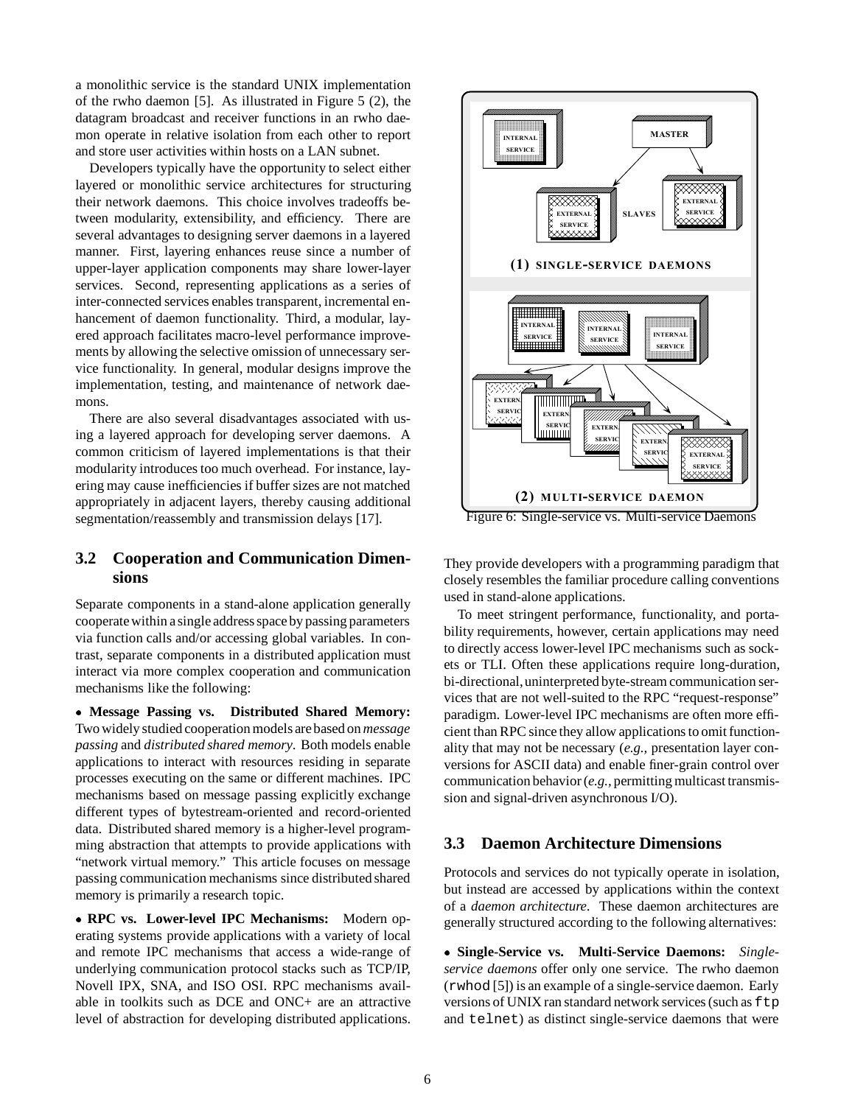a monolithic service is the standard UNIX implementation of the rwho daemon [5]. As illustrated in Figure 5 (2), the datagram broadcast and receiver functions in an rwho daemon operate in relative isolation from each other to report and store user activities within hosts on a LAN subnet.

Developers typically have the opportunity to select either layered or monolithic service architectures for structuring their network daemons. This choice involves tradeoffs between modularity, extensibility, and efficiency. There are several advantages to designing server daemons in a layered manner. First, layering enhances reuse since a number of upper-layer application components may share lower-layer services. Second, representing applications as a series of inter-connected services enables transparent, incremental enhancement of daemon functionality. Third, a modular, layered approach facilitates macro-level performance improvements by allowing the selective omission of unnecessary service functionality. In general, modular designs improve the implementation, testing, and maintenance of network daemons.

There are also several disadvantages associated with using a layered approach for developing server daemons. A common criticism of layered implementations is that their modularity introduces too much overhead. For instance, layering may cause inefficiencies if buffer sizes are not matched appropriately in adjacent layers, thereby causing additional segmentation/reassembly and transmission delays [17].

### **3.2 Cooperation and Communication Dimensions**

Separate components in a stand-alone application generally cooperate within a single address space by passing parameters via function calls and/or accessing global variables. In contrast, separate components in a distributed application must interact via more complex cooperation and communication mechanisms like the following:

 **Message Passing vs. Distributed Shared Memory:** Two widely studied cooperation models are based on *message passing* and *distributed shared memory*. Both models enable applications to interact with resources residing in separate processes executing on the same or different machines. IPC mechanisms based on message passing explicitly exchange different types of bytestream-oriented and record-oriented data. Distributed shared memory is a higher-level programming abstraction that attempts to provide applications with "network virtual memory." This article focuses on message passing communication mechanisms since distributed shared memory is primarily a research topic.

 **RPC vs. Lower-level IPC Mechanisms:** Modern operating systems provide applications with a variety of local and remote IPC mechanisms that access a wide-range of underlying communication protocol stacks such as TCP/IP, Novell IPX, SNA, and ISO OSI. RPC mechanisms available in toolkits such as DCE and ONC+ are an attractive level of abstraction for developing distributed applications.



They provide developers with a programming paradigm that closely resembles the familiar procedure calling conventions used in stand-alone applications.

To meet stringent performance, functionality, and portability requirements, however, certain applications may need to directly access lower-level IPC mechanisms such as sockets or TLI. Often these applications require long-duration, bi-directional,uninterpreted byte-stream communication services that are not well-suited to the RPC "request-response" paradigm. Lower-level IPC mechanisms are often more efficient than RPC since they allow applications to omit functionality that may not be necessary (*e.g.,* presentation layer conversions for ASCII data) and enable finer-grain control over communication behavior (*e.g.,* permitting multicast transmission and signal-driven asynchronous I/O).

#### **3.3 Daemon Architecture Dimensions**

Protocols and services do not typically operate in isolation, but instead are accessed by applications within the context of a *daemon architecture*. These daemon architectures are generally structured according to the following alternatives:

 **Single-Service vs. Multi-Service Daemons:** *Singleservice daemons* offer only one service. The rwho daemon (rwhod [5]) is an example of a single-service daemon. Early versions of UNIX ran standard network services (such as  $ftp$ and telnet) as distinct single-service daemons that were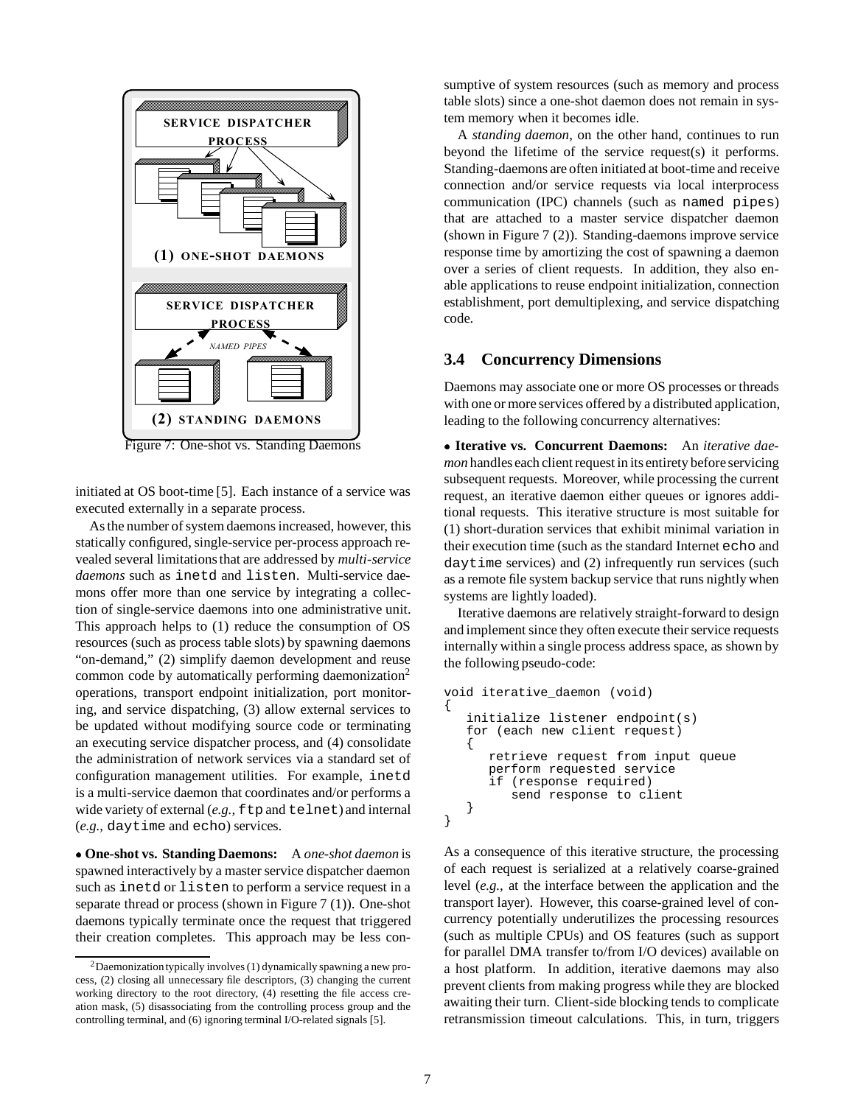

Figure 7: One-shot vs. Standing Daemons

initiated at OS boot-time [5]. Each instance of a service was executed externally in a separate process.

As the number of system daemons increased, however, this statically configured, single-service per-process approach revealed several limitations that are addressed by *multi-service daemons* such as inetd and listen. Multi-service daemons offer more than one service by integrating a collection of single-service daemons into one administrative unit. This approach helps to (1) reduce the consumption of OS resources (such as process table slots) by spawning daemons "on-demand," (2) simplify daemon development and reuse common code by automatically performing daemonization<sup>2</sup> operations, transport endpoint initialization, port monitoring, and service dispatching, (3) allow external services to be updated without modifying source code or terminating an executing service dispatcher process, and (4) consolidate the administration of network services via a standard set of configuration management utilities. For example, inetd is a multi-service daemon that coordinates and/or performs a wide variety of external (*e.g.*,  $f$ tp and telnet) and internal (*e.g.,* daytime and echo) services.

 **One-shot vs. Standing Daemons:** A *one-shot daemon* is spawned interactively by a master service dispatcher daemon such as inetd or listen to perform a service request in a separate thread or process (shown in Figure 7 (1)). One-shot daemons typically terminate once the request that triggered their creation completes. This approach may be less consumptive of system resources (such as memory and process table slots) since a one-shot daemon does not remain in system memory when it becomes idle.

A *standing daemon*, on the other hand, continues to run beyond the lifetime of the service request(s) it performs. Standing-daemons are often initiated at boot-time and receive connection and/or service requests via local interprocess communication (IPC) channels (such as named pipes) that are attached to a master service dispatcher daemon (shown in Figure 7 (2)). Standing-daemons improve service response time by amortizing the cost of spawning a daemon over a series of client requests. In addition, they also enable applications to reuse endpoint initialization, connection establishment, port demultiplexing, and service dispatching code.

#### **3.4 Concurrency Dimensions**

Daemons may associate one or more OS processes or threads with one or more services offered by a distributed application, leading to the following concurrency alternatives:

 **Iterative vs. Concurrent Daemons:** An *iterative daemon* handles each client request in its entirety before servicing subsequent requests. Moreover, while processing the current request, an iterative daemon either queues or ignores additional requests. This iterative structure is most suitable for (1) short-duration services that exhibit minimal variation in their execution time (such as the standard Internet echo and daytime services) and (2) infrequently run services (such as a remote file system backup service that runs nightly when systems are lightly loaded).

Iterative daemons are relatively straight-forward to design and implement since they often execute their service requests internally within a single process address space, as shown by the following pseudo-code:

```
void iterative_daemon (void)
{
   initialize listener endpoint(s)
   for (each new client request)
   {
      retrieve request from input queue
      perform requested service
      if (response required)
         send response to client
   }
}
```
As a consequence of this iterative structure, the processing of each request is serialized at a relatively coarse-grained level (*e.g.,* at the interface between the application and the transport layer). However, this coarse-grained level of concurrency potentially underutilizes the processing resources (such as multiple CPUs) and OS features (such as support for parallel DMA transfer to/from I/O devices) available on a host platform. In addition, iterative daemons may also prevent clients from making progress while they are blocked awaiting their turn. Client-side blocking tends to complicate retransmission timeout calculations. This, in turn, triggers

 $2$ Daemonization typically involves (1) dynamically spawning a new process, (2) closing all unnecessary file descriptors, (3) changing the current working directory to the root directory, (4) resetting the file access creation mask, (5) disassociating from the controlling process group and the controlling terminal, and (6) ignoring terminal I/O-related signals [5].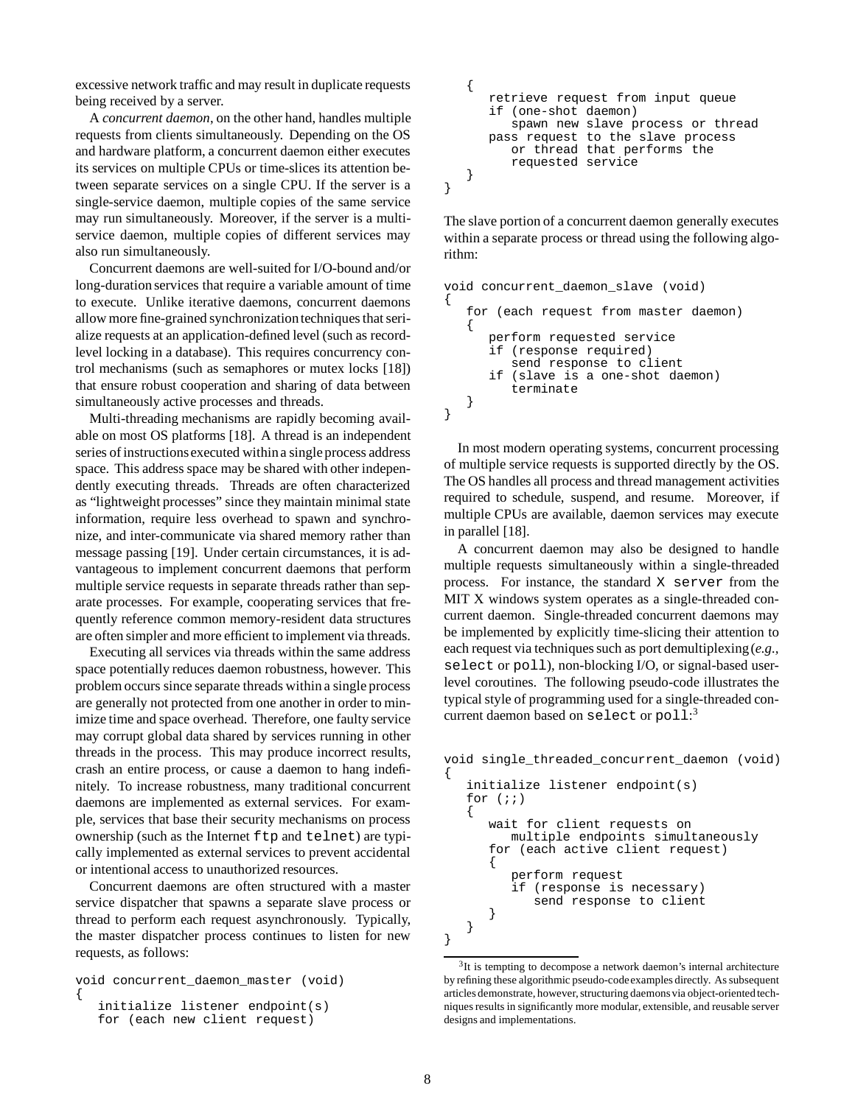excessive network traffic and may result in duplicate requests being received by a server.

A *concurrent daemon*, on the other hand, handles multiple requests from clients simultaneously. Depending on the OS and hardware platform, a concurrent daemon either executes its services on multiple CPUs or time-slices its attention between separate services on a single CPU. If the server is a single-service daemon, multiple copies of the same service may run simultaneously. Moreover, if the server is a multiservice daemon, multiple copies of different services may also run simultaneously.

Concurrent daemons are well-suited for I/O-bound and/or long-duration services that require a variable amount of time to execute. Unlike iterative daemons, concurrent daemons allow more fine-grained synchronizationtechniques that serialize requests at an application-defined level (such as recordlevel locking in a database). This requires concurrency control mechanisms (such as semaphores or mutex locks [18]) that ensure robust cooperation and sharing of data between simultaneously active processes and threads.

Multi-threading mechanisms are rapidly becoming available on most OS platforms [18]. A thread is an independent series of instructionsexecuted withina single process address space. This address space may be shared with other independently executing threads. Threads are often characterized as "lightweight processes" since they maintain minimal state information, require less overhead to spawn and synchronize, and inter-communicate via shared memory rather than message passing [19]. Under certain circumstances, it is advantageous to implement concurrent daemons that perform multiple service requests in separate threads rather than separate processes. For example, cooperating services that frequently reference common memory-resident data structures are often simpler and more efficient to implement via threads.

Executing all services via threads within the same address space potentially reduces daemon robustness, however. This problem occurs since separate threads within a single process are generally not protected from one another in order to minimize time and space overhead. Therefore, one faulty service may corrupt global data shared by services running in other threads in the process. This may produce incorrect results, crash an entire process, or cause a daemon to hang indefinitely. To increase robustness, many traditional concurrent daemons are implemented as external services. For example, services that base their security mechanisms on process ownership (such as the Internet ftp and telnet) are typically implemented as external services to prevent accidental or intentional access to unauthorized resources.

Concurrent daemons are often structured with a master service dispatcher that spawns a separate slave process or thread to perform each request asynchronously. Typically, the master dispatcher process continues to listen for new requests, as follows:

```
void concurrent_daemon_master (void)
{
   initialize listener endpoint(s)
   for (each new client request)
```

```
{
      retrieve request from input queue
      if (one-shot daemon)
         spawn new slave process or thread
     pass request to the slave process
         or thread that performs the
         requested service
   }
}
```
The slave portion of a concurrent daemon generally executes within a separate process or thread using the following algorithm:

```
void concurrent_daemon_slave (void)
{
   for (each request from master daemon)
   {
      perform requested service
      if (response required)
         send response to client
      if (slave is a one-shot daemon)
         terminate
   }
}
```
In most modern operating systems, concurrent processing of multiple service requests is supported directly by the OS. The OS handles all process and thread management activities required to schedule, suspend, and resume. Moreover, if multiple CPUs are available, daemon services may execute in parallel [18].

A concurrent daemon may also be designed to handle multiple requests simultaneously within a single-threaded process. For instance, the standard X server from the MIT X windows system operates as a single-threaded concurrent daemon. Single-threaded concurrent daemons may be implemented by explicitly time-slicing their attention to each request via techniques such as port demultiplexing(*e.g.,* select or poll), non-blocking I/O, or signal-based userlevel coroutines. The following pseudo-code illustrates the typical style of programming used for a single-threaded concurrent daemon based on select or poll: 3

```
void single_threaded_concurrent_daemon (void)
{
   initialize listener endpoint(s)
   for (i){
      wait for client requests on
        multiple endpoints simultaneously
      for (each active client request)
      {
         perform request
         if (response is necessary)
            send response to client
      }
   }
}
```
 $3$ It is tempting to decompose a network daemon's internal architecture by refining these algorithmic pseudo-codeexamples directly. As subsequent articles demonstrate, however, structuring daemonsvia object-oriented techniques results in significantly more modular, extensible, and reusable server designs and implementations.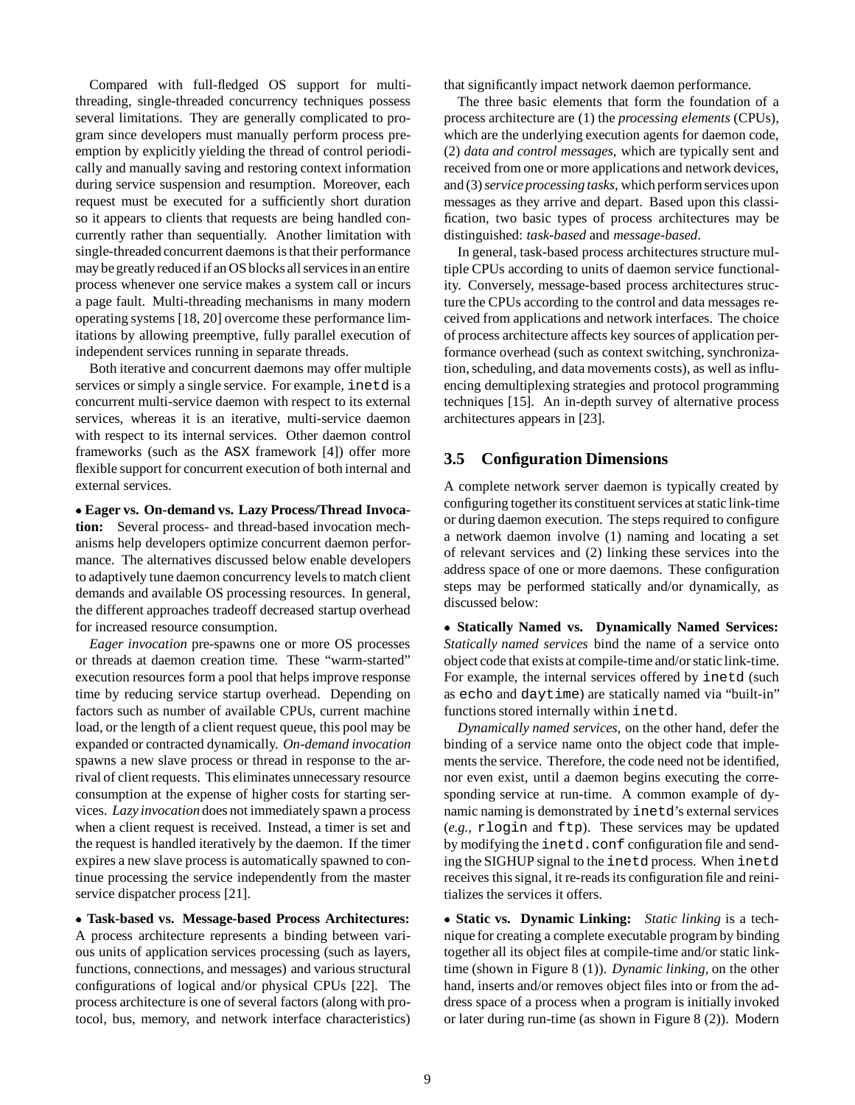Compared with full-fledged OS support for multithreading, single-threaded concurrency techniques possess several limitations. They are generally complicated to program since developers must manually perform process preemption by explicitly yielding the thread of control periodically and manually saving and restoring context information during service suspension and resumption. Moreover, each request must be executed for a sufficiently short duration so it appears to clients that requests are being handled concurrently rather than sequentially. Another limitation with single-threaded concurrent daemons is that their performance may be greatly reduced if an OS blocks all services in an entire process whenever one service makes a system call or incurs a page fault. Multi-threading mechanisms in many modern operating systems [18, 20] overcome these performance limitations by allowing preemptive, fully parallel execution of independent services running in separate threads.

Both iterative and concurrent daemons may offer multiple services or simply a single service. For example, inetd is a concurrent multi-service daemon with respect to its external services, whereas it is an iterative, multi-service daemon with respect to its internal services. Other daemon control frameworks (such as the ASX framework [4]) offer more flexible support for concurrent execution of both internal and external services.

 **Eager vs. On-demand vs. Lazy Process/Thread Invocation:** Several process- and thread-based invocation mechanisms help developers optimize concurrent daemon performance. The alternatives discussed below enable developers to adaptively tune daemon concurrency levels to match client demands and available OS processing resources. In general, the different approaches tradeoff decreased startup overhead for increased resource consumption.

*Eager invocation* pre-spawns one or more OS processes or threads at daemon creation time. These "warm-started" execution resources form a pool that helps improve response time by reducing service startup overhead. Depending on factors such as number of available CPUs, current machine load, or the length of a client request queue, this pool may be expanded or contracted dynamically. *On-demand invocation* spawns a new slave process or thread in response to the arrival of client requests. This eliminates unnecessary resource consumption at the expense of higher costs for starting services. *Lazy invocation* does not immediately spawn a process when a client request is received. Instead, a timer is set and the request is handled iteratively by the daemon. If the timer expires a new slave process is automatically spawned to continue processing the service independently from the master service dispatcher process [21].

 **Task-based vs. Message-based Process Architectures:** A process architecture represents a binding between various units of application services processing (such as layers, functions, connections, and messages) and various structural configurations of logical and/or physical CPUs [22]. The process architecture is one of several factors (along with protocol, bus, memory, and network interface characteristics) that significantly impact network daemon performance.

The three basic elements that form the foundation of a process architecture are (1) the *processing elements* (CPUs), which are the underlying execution agents for daemon code, (2) *data and control messages*, which are typically sent and received from one or more applications and network devices, and (3)*service processing tasks*, which perform services upon messages as they arrive and depart. Based upon this classification, two basic types of process architectures may be distinguished: *task-based* and *message-based*.

In general, task-based process architectures structure multiple CPUs according to units of daemon service functionality. Conversely, message-based process architectures structure the CPUs according to the control and data messages received from applications and network interfaces. The choice of process architecture affects key sources of application performance overhead (such as context switching, synchronization, scheduling, and data movements costs), as well as influencing demultiplexing strategies and protocol programming techniques [15]. An in-depth survey of alternative process architectures appears in [23].

#### **3.5 Configuration Dimensions**

A complete network server daemon is typically created by configuring together its constituent services at static link-time or during daemon execution. The steps required to configure a network daemon involve (1) naming and locating a set of relevant services and (2) linking these services into the address space of one or more daemons. These configuration steps may be performed statically and/or dynamically, as discussed below:

 **Statically Named vs. Dynamically Named Services:** *Statically named services* bind the name of a service onto object code that exists at compile-time and/or static link-time. For example, the internal services offered by inetd (such as echo and daytime) are statically named via "built-in" functions stored internally within inetd.

*Dynamically named services*, on the other hand, defer the binding of a service name onto the object code that implements the service. Therefore, the code need not be identified, nor even exist, until a daemon begins executing the corresponding service at run-time. A common example of dynamic naming is demonstrated by inetd's external services (*e.g.,* rlogin and ftp). These services may be updated by modifying the inetd.conf configuration file and sending the SIGHUP signal to the inetd process. When inetd receives this signal, it re-reads its configuration file and reinitializes the services it offers.

 **Static vs. Dynamic Linking:** *Static linking* is a technique for creating a complete executable program by binding together all its object files at compile-time and/or static linktime (shown in Figure 8 (1)). *Dynamic linking*, on the other hand, inserts and/or removes object files into or from the address space of a process when a program is initially invoked or later during run-time (as shown in Figure 8 (2)). Modern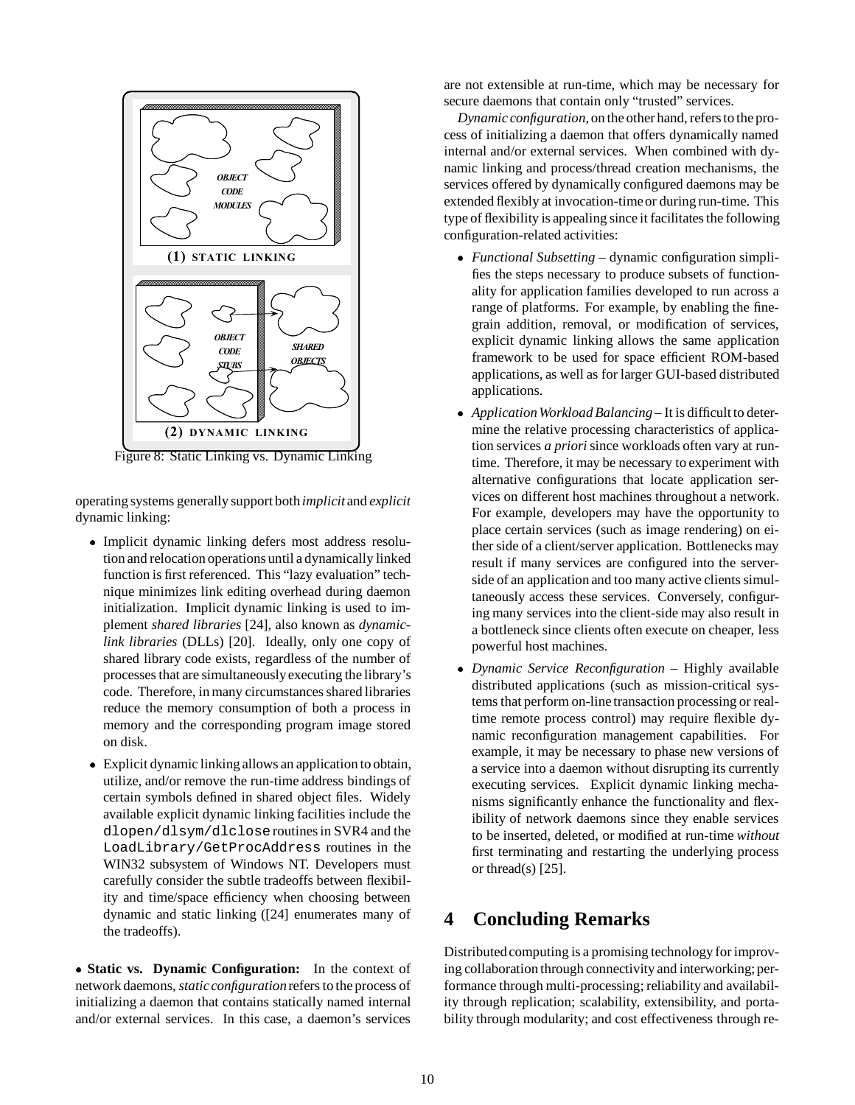

Figure 8: Static Linking vs. Dynamic Linking

operating systems generally support both *implicit* and *explicit* dynamic linking:

- Implicit dynamic linking defers most address resolution and relocation operations until a dynamically linked function is first referenced. This "lazy evaluation" technique minimizes link editing overhead during daemon initialization. Implicit dynamic linking is used to implement *shared libraries* [24], also known as *dynamiclink libraries* (DLLs) [20]. Ideally, only one copy of shared library code exists, regardless of the number of processes that are simultaneouslyexecuting the library's code. Therefore, in many circumstances shared libraries reduce the memory consumption of both a process in memory and the corresponding program image stored on disk.
- Explicit dynamic linking allows an application to obtain, utilize, and/or remove the run-time address bindings of certain symbols defined in shared object files. Widely available explicit dynamic linking facilities include the dlopen/dlsym/dlcloseroutines in SVR4 and the LoadLibrary/GetProcAddress routines in the WIN32 subsystem of Windows NT. Developers must carefully consider the subtle tradeoffs between flexibility and time/space efficiency when choosing between dynamic and static linking ([24] enumerates many of the tradeoffs).

 **Static vs. Dynamic Configuration:** In the context of network daemons, *staticconfiguration*refers to the process of initializing a daemon that contains statically named internal and/or external services. In this case, a daemon's services

are not extensible at run-time, which may be necessary for secure daemons that contain only "trusted" services.

*Dynamic configuration*, on the other hand, refers to the process of initializing a daemon that offers dynamically named internal and/or external services. When combined with dynamic linking and process/thread creation mechanisms, the services offered by dynamically configured daemons may be extended flexibly at invocation-time or during run-time. This type of flexibility is appealing since it facilitates the following configuration-related activities:

- *Functional Subsetting* dynamic configuration simplifies the steps necessary to produce subsets of functionality for application families developed to run across a range of platforms. For example, by enabling the finegrain addition, removal, or modification of services, explicit dynamic linking allows the same application framework to be used for space efficient ROM-based applications, as well as for larger GUI-based distributed applications.
- *ApplicationWorkload Balancing* It is difficult to determine the relative processing characteristics of application services *a priori* since workloads often vary at runtime. Therefore, it may be necessary to experiment with alternative configurations that locate application services on different host machines throughout a network. For example, developers may have the opportunity to place certain services (such as image rendering) on either side of a client/server application. Bottlenecks may result if many services are configured into the serverside of an application and too many active clients simultaneously access these services. Conversely, configuring many services into the client-side may also result in a bottleneck since clients often execute on cheaper, less powerful host machines.
- *Dynamic Service Reconfiguration* Highly available distributed applications (such as mission-critical systems that perform on-line transaction processing or realtime remote process control) may require flexible dynamic reconfiguration management capabilities. For example, it may be necessary to phase new versions of a service into a daemon without disrupting its currently executing services. Explicit dynamic linking mechanisms significantly enhance the functionality and flexibility of network daemons since they enable services to be inserted, deleted, or modified at run-time *without* first terminating and restarting the underlying process or thread(s)  $[25]$ .

# **4 Concluding Remarks**

Distributed computing is a promising technology for improving collaboration through connectivity and interworking; performance through multi-processing; reliability and availability through replication; scalability, extensibility, and portability through modularity; and cost effectiveness through re